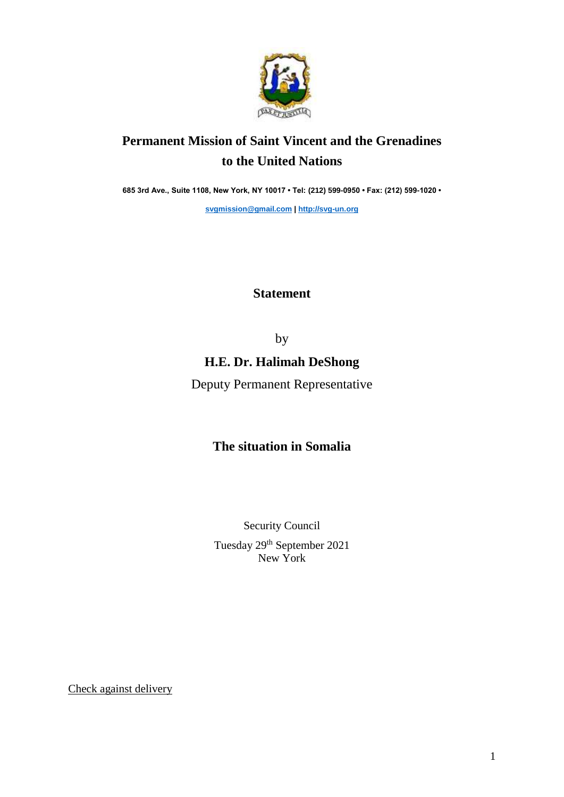

# **Permanent Mission of Saint Vincent and the Grenadines to the United Nations**

**685 3rd Ave., Suite 1108, New York, NY 10017 • Tel: (212) 599-0950 • Fax: (212) 599-1020 •** 

**[svgmission@gmail.com](mailto:svgmission@gmail.com) | [http://svg-un.org](http://svg-un.org/)**

### **Statement**

by

### **H.E. Dr. Halimah DeShong**

Deputy Permanent Representative

## **The situation in Somalia**

Security Council

Tuesday 29th September 2021 New York

Check against delivery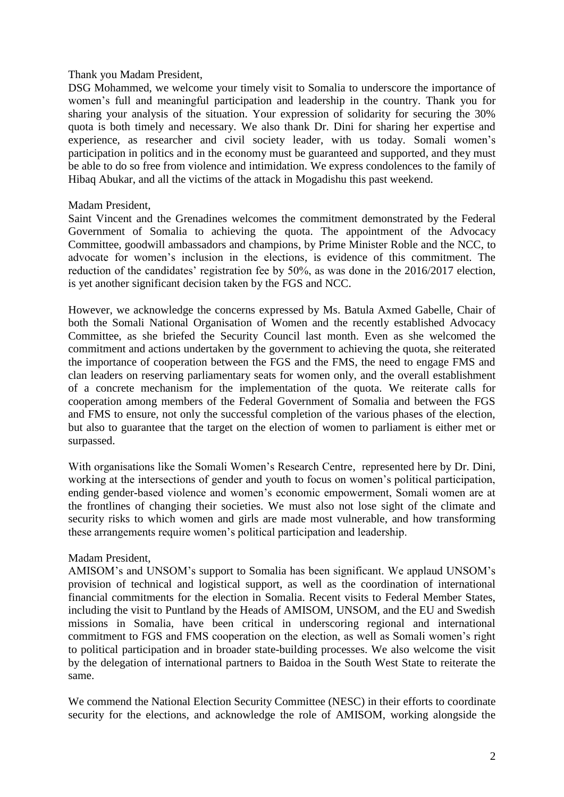#### Thank you Madam President,

DSG Mohammed, we welcome your timely visit to Somalia to underscore the importance of women's full and meaningful participation and leadership in the country. Thank you for sharing your analysis of the situation. Your expression of solidarity for securing the 30% quota is both timely and necessary. We also thank Dr. Dini for sharing her expertise and experience, as researcher and civil society leader, with us today. Somali women's participation in politics and in the economy must be guaranteed and supported, and they must be able to do so free from violence and intimidation. We express condolences to the family of Hibaq Abukar, and all the victims of the attack in Mogadishu this past weekend.

### Madam President,

Saint Vincent and the Grenadines welcomes the commitment demonstrated by the Federal Government of Somalia to achieving the quota. The appointment of the Advocacy Committee, goodwill ambassadors and champions, by Prime Minister Roble and the NCC, to advocate for women's inclusion in the elections, is evidence of this commitment. The reduction of the candidates' registration fee by 50%, as was done in the 2016/2017 election, is yet another significant decision taken by the FGS and NCC.

However, we acknowledge the concerns expressed by Ms. Batula Axmed Gabelle, Chair of both the Somali National Organisation of Women and the recently established Advocacy Committee, as she briefed the Security Council last month. Even as she welcomed the commitment and actions undertaken by the government to achieving the quota, she reiterated the importance of cooperation between the FGS and the FMS, the need to engage FMS and clan leaders on reserving parliamentary seats for women only, and the overall establishment of a concrete mechanism for the implementation of the quota. We reiterate calls for cooperation among members of the Federal Government of Somalia and between the FGS and FMS to ensure, not only the successful completion of the various phases of the election, but also to guarantee that the target on the election of women to parliament is either met or surpassed.

With organisations like the Somali Women's Research Centre, represented here by Dr. Dini, working at the intersections of gender and youth to focus on women's political participation, ending gender-based violence and women's economic empowerment, Somali women are at the frontlines of changing their societies. We must also not lose sight of the climate and security risks to which women and girls are made most vulnerable, and how transforming these arrangements require women's political participation and leadership.

### Madam President,

AMISOM's and UNSOM's support to Somalia has been significant. We applaud UNSOM's provision of technical and logistical support, as well as the coordination of international financial commitments for the election in Somalia. Recent visits to Federal Member States, including the visit to Puntland by the Heads of AMISOM, UNSOM, and the EU and Swedish missions in Somalia, have been critical in underscoring regional and international commitment to FGS and FMS cooperation on the election, as well as Somali women's right to political participation and in broader state-building processes. We also welcome the visit by the delegation of international partners to Baidoa in the South West State to reiterate the same.

We commend the National Election Security Committee (NESC) in their efforts to coordinate security for the elections, and acknowledge the role of AMISOM, working alongside the